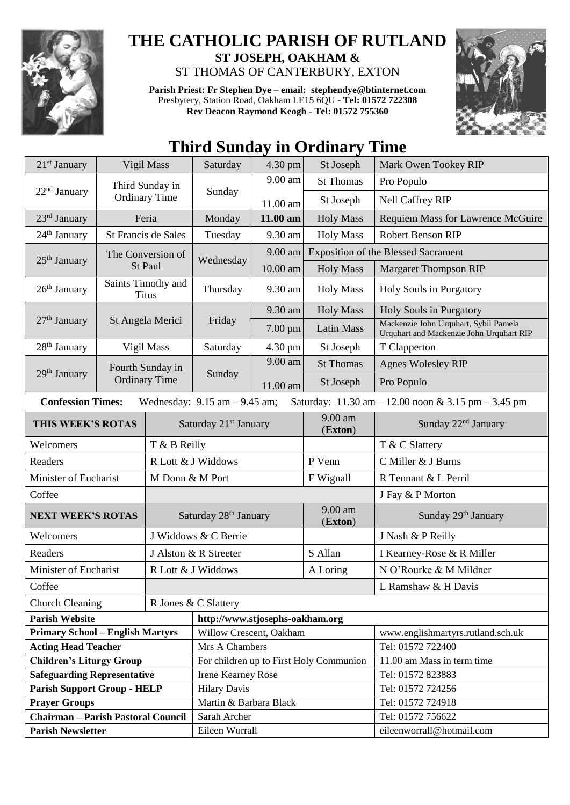

## **THE CATHOLIC PARISH OF RUTLAND ST JOSEPH, OAKHAM &**

ST THOMAS OF CANTERBURY, EXTON

**Parish Priest: Fr Stephen Dye** – **[email: stephendye@btinternet.com](mailto:email:%20%20stephendye@btinternet.com)** Presbytery, Station Road, Oakham LE15 6QU - **Tel: 01572 722308 Rev Deacon Raymond Keogh - Tel: 01572 755360**



## **Third Sunday in Ordinary Time**

| $21st$ January<br>Vigil Mass                                                                                                                            |                                    | Saturday                          | 4.30 pm                                 | St Joseph        | Mark Owen Tookey RIP |                                                                                   |
|---------------------------------------------------------------------------------------------------------------------------------------------------------|------------------------------------|-----------------------------------|-----------------------------------------|------------------|----------------------|-----------------------------------------------------------------------------------|
| Third Sunday in                                                                                                                                         |                                    |                                   | 9.00 am                                 | <b>St Thomas</b> | Pro Populo           |                                                                                   |
| 22 <sup>nd</sup> January                                                                                                                                | <b>Ordinary Time</b>               |                                   | Sunday                                  | 11.00 am         | St Joseph            | Nell Caffrey RIP                                                                  |
| 23rd January                                                                                                                                            | Feria                              |                                   | Monday                                  | 11.00 am         | <b>Holy Mass</b>     | <b>Requiem Mass for Lawrence McGuire</b>                                          |
| 24 <sup>th</sup> January                                                                                                                                | St Francis de Sales                |                                   | Tuesday                                 | 9.30 am          | <b>Holy Mass</b>     | <b>Robert Benson RIP</b>                                                          |
| The Conversion of<br>$25th$ January                                                                                                                     |                                    |                                   | Wednesday                               | 9.00 am          |                      | <b>Exposition of the Blessed Sacrament</b>                                        |
|                                                                                                                                                         |                                    | St Paul                           |                                         | 10.00 am         | <b>Holy Mass</b>     | <b>Margaret Thompson RIP</b>                                                      |
| $26th$ January                                                                                                                                          | Saints Timothy and<br><b>Titus</b> |                                   | Thursday                                | 9.30 am          | <b>Holy Mass</b>     | Holy Souls in Purgatory                                                           |
| $27th$ January<br>St Angela Merici                                                                                                                      |                                    |                                   | Friday                                  | 9.30 am          | <b>Holy Mass</b>     | Holy Souls in Purgatory                                                           |
|                                                                                                                                                         |                                    |                                   |                                         | 7.00 pm          | <b>Latin Mass</b>    | Mackenzie John Urquhart, Sybil Pamela<br>Urquhart and Mackenzie John Urquhart RIP |
| 28 <sup>th</sup> January                                                                                                                                | Vigil Mass                         |                                   | Saturday                                | 4.30 pm          | St Joseph            | T Clapperton                                                                      |
| Fourth Sunday in<br>$29th$ January                                                                                                                      |                                    |                                   |                                         | 9.00 am          | <b>St Thomas</b>     | <b>Agnes Wolesley RIP</b>                                                         |
|                                                                                                                                                         |                                    | <b>Ordinary Time</b>              | Sunday                                  | 11.00 am         | St Joseph            | Pro Populo                                                                        |
| <b>Confession Times:</b><br>Wednesday: $9.15$ am $- 9.45$ am;<br>Saturday: $11.30 \text{ am} - 12.00 \text{ noon} \& 3.15 \text{ pm} - 3.45 \text{ pm}$ |                                    |                                   |                                         |                  |                      |                                                                                   |
| THIS WEEK'S ROTAS                                                                                                                                       |                                    |                                   | Saturday 21 <sup>st</sup> January       |                  | 9.00 am<br>(Exton)   | Sunday 22 <sup>nd</sup> January                                                   |
| Welcomers                                                                                                                                               |                                    | T & B Reilly                      |                                         |                  |                      | T & C Slattery                                                                    |
| Readers                                                                                                                                                 |                                    | R Lott & J Widdows                |                                         |                  | P Venn               | C Miller & J Burns                                                                |
| Minister of Eucharist                                                                                                                                   |                                    | M Donn & M Port                   |                                         |                  | F Wignall            | R Tennant & L Perril                                                              |
| Coffee                                                                                                                                                  |                                    |                                   |                                         |                  |                      | J Fay & P Morton                                                                  |
| <b>NEXT WEEK'S ROTAS</b>                                                                                                                                |                                    | Saturday 28 <sup>th</sup> January |                                         |                  | 9.00 am<br>(Exton)   | Sunday 29th January                                                               |
| Welcomers                                                                                                                                               |                                    | J Widdows & C Berrie              |                                         |                  |                      | J Nash & P Reilly                                                                 |
| Readers                                                                                                                                                 |                                    |                                   | J Alston & R Streeter                   |                  |                      | I Kearney-Rose & R Miller                                                         |
| Minister of Eucharist                                                                                                                                   |                                    |                                   | R Lott & J Widdows                      |                  | A Loring             | N O'Rourke & M Mildner                                                            |
| Coffee                                                                                                                                                  |                                    |                                   |                                         |                  | L Ramshaw & H Davis  |                                                                                   |
| <b>Church Cleaning</b>                                                                                                                                  |                                    |                                   | R Jones & C Slattery                    |                  |                      |                                                                                   |
| <b>Parish Website</b>                                                                                                                                   |                                    |                                   | http://www.stjosephs-oakham.org         |                  |                      |                                                                                   |
| <b>Primary School - English Martyrs</b>                                                                                                                 |                                    |                                   | Willow Crescent, Oakham                 |                  |                      | www.englishmartyrs.rutland.sch.uk                                                 |
| <b>Acting Head Teacher</b>                                                                                                                              |                                    |                                   | Mrs A Chambers                          |                  |                      | Tel: 01572 722400                                                                 |
| <b>Children's Liturgy Group</b>                                                                                                                         |                                    |                                   | For children up to First Holy Communion |                  |                      | 11.00 am Mass in term time                                                        |
| <b>Safeguarding Representative</b>                                                                                                                      |                                    |                                   | <b>Irene Kearney Rose</b>               |                  |                      | Tel: 01572 823883                                                                 |
| <b>Parish Support Group - HELP</b>                                                                                                                      |                                    |                                   | <b>Hilary Davis</b>                     |                  |                      | Tel: 01572 724256                                                                 |
| <b>Prayer Groups</b>                                                                                                                                    |                                    |                                   | Martin & Barbara Black                  |                  |                      | Tel: 01572 724918                                                                 |
| <b>Chairman - Parish Pastoral Council</b>                                                                                                               |                                    |                                   | Sarah Archer                            |                  |                      | Tel: 01572 756622                                                                 |
| <b>Parish Newsletter</b>                                                                                                                                |                                    |                                   | Eileen Worrall                          |                  |                      | eileenworrall@hotmail.com                                                         |